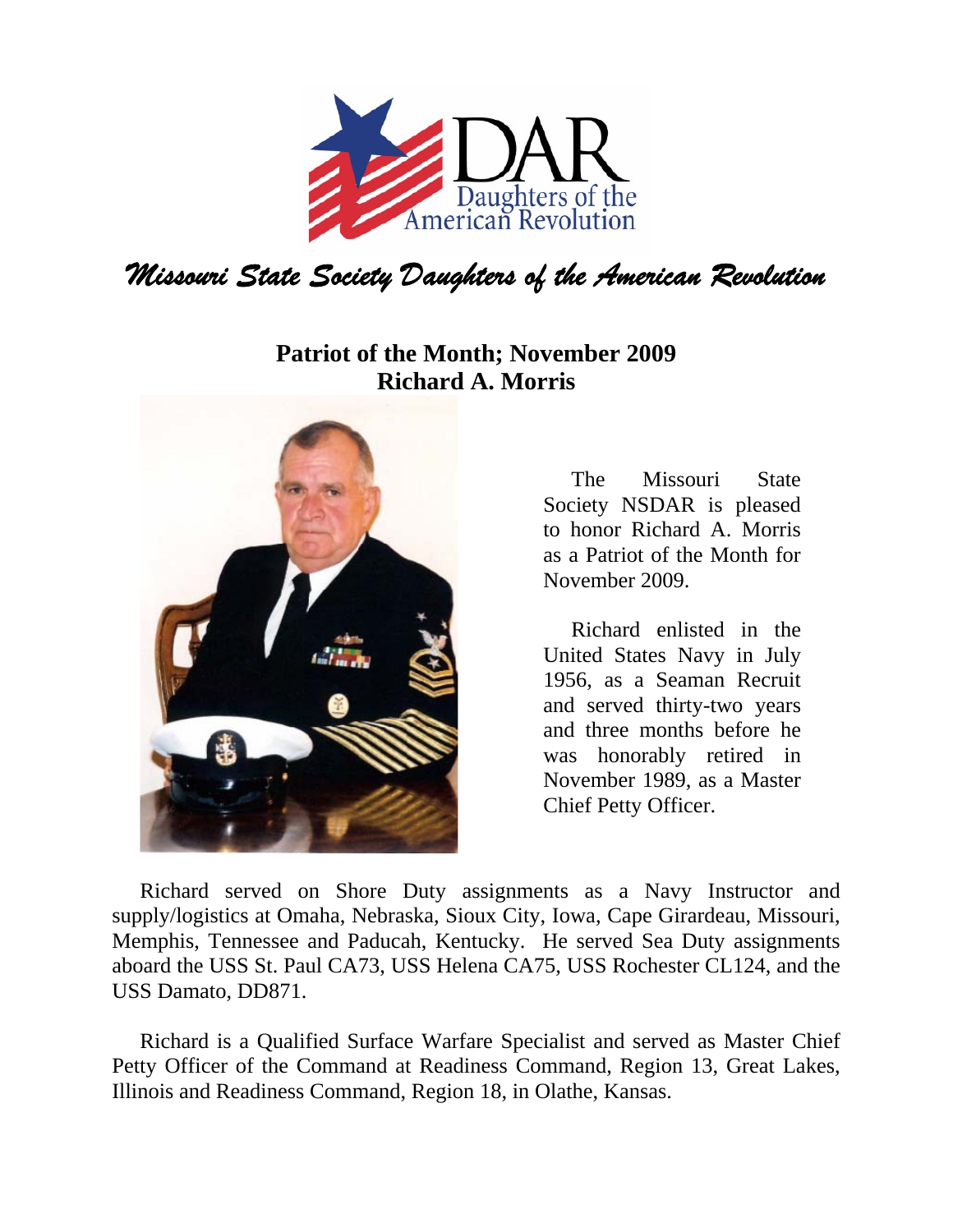

## **Patriot of the Month; November 2009 Richard A. Morris**



The Missouri State Society NSDAR is pleased to honor Richard A. Morris as a Patriot of the Month for November 2009.

Richard enlisted in the United States Navy in July 1956, as a Seaman Recruit and served thirty-two years and three months before he was honorably retired in November 1989, as a Master Chief Petty Officer.

Richard served on Shore Duty assignments as a Navy Instructor and supply/logistics at Omaha, Nebraska, Sioux City, Iowa, Cape Girardeau, Missouri, Memphis, Tennessee and Paducah, Kentucky. He served Sea Duty assignments aboard the USS St. Paul CA73, USS Helena CA75, USS Rochester CL124, and the USS Damato, DD871.

Richard is a Qualified Surface Warfare Specialist and served as Master Chief Petty Officer of the Command at Readiness Command, Region 13, Great Lakes, Illinois and Readiness Command, Region 18, in Olathe, Kansas.